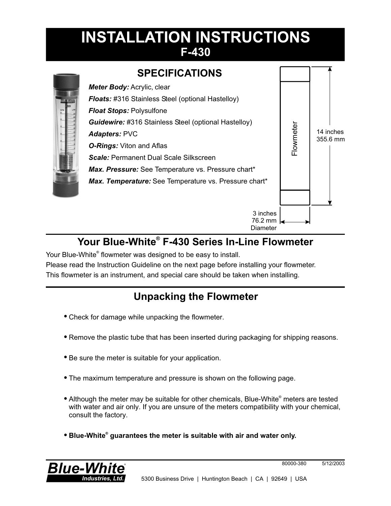# **INSTALLATION INSTRUCTIONS F-430**



## Your Blue-White<sup>®</sup> F-430 Series In-Line Flowmeter

Your Blue-White<sup>®</sup> flowmeter was designed to be easy to install.

Please read the Instruction Guideline on the next page before installing your flowmeter. This flowmeter is an instrument, and special care should be taken when installing.

## **Unpacking the Flowmeter**

- Check for damage while unpacking the flowmeter.
- ! Remove the plastic tube that has been inserted during packaging for shipping reasons.
- Be sure the meter is suitable for your application.
- The maximum temperature and pressure is shown on the following page.
- Although the meter may be suitable for other chemicals, Blue-White<sup>®</sup> meters are tested with water and air only. If you are unsure of the meters compatibility with your chemical, consult the factory.
- **Blue-White<sup>®</sup> guarantees the meter is suitable with air and water only.**



80000-380 5/12/2003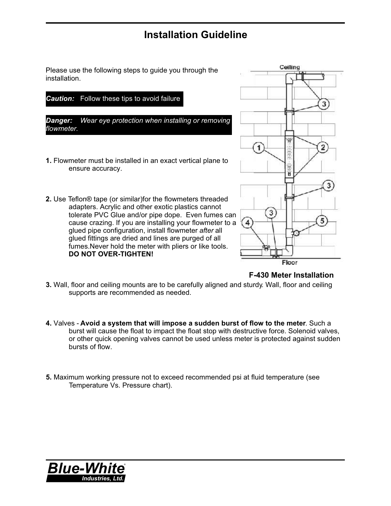### **Installation Guideline**

Please use the following steps to guide you through the installation.



*Danger: Wear eye protection when installing or removing flowmeter.*

- **1.** Flowmeter must be installed in an exact vertical plane to ensure accuracy.
- **2.** Use Teflon® tape (or similar)for the flowmeters threaded adapters. Acrylic and other exotic plastics cannot tolerate PVC Glue and/or pipe dope. Even fumes can cause crazing. If you are installing your flowmeter to a glued pipe configuration, install flowmeter *after* all glued fittings are dried and lines are purged of all fumes.Never hold the meter with pliers or like tools. **DO NOT OVER-TIGHTEN!**



**F-430 Meter Installation**

- **3.** Wall, floor and ceiling mounts are to be carefully aligned and sturdy. Wall, floor and ceiling supports are recommended as needed.
- **4.** Valves **Avoid a system that will impose a sudden burst of flow to the meter**. Such a burst will cause the float to impact the float stop with destructive force. Solenoid valves, or other quick opening valves cannot be used unless meter is protected against sudden bursts of flow.
- **5.** Maximum working pressure not to exceed recommended psi at fluid temperature (see Temperature Vs. Pressure chart).

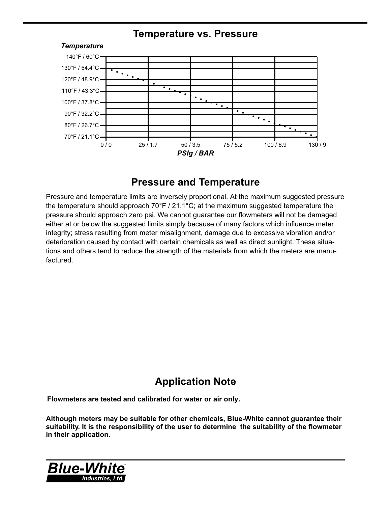#### **Temperature vs. Pressure**



#### **Pressure and Temperature**

Pressure and temperature limits are inversely proportional. At the maximum suggested pressure the temperature should approach 70°F / 21.1°C; at the maximum suggested temperature the pressure should approach zero psi. We cannot guarantee our flowmeters will not be damaged either at or below the suggested limits simply because of many factors which influence meter integrity; stress resulting from meter misalignment, damage due to excessive vibration and/or deterioration caused by contact with certain chemicals as well as direct sunlight. These situations and others tend to reduce the strength of the materials from which the meters are manufactured.

## **Application Note**

**Flowmeters are tested and calibrated for water or air only.**

**Although meters may be suitable for other chemicals, Blue-White cannot guarantee their suitability. It is the responsibility of the user to determine the suitability of the flowmeter in their application.**